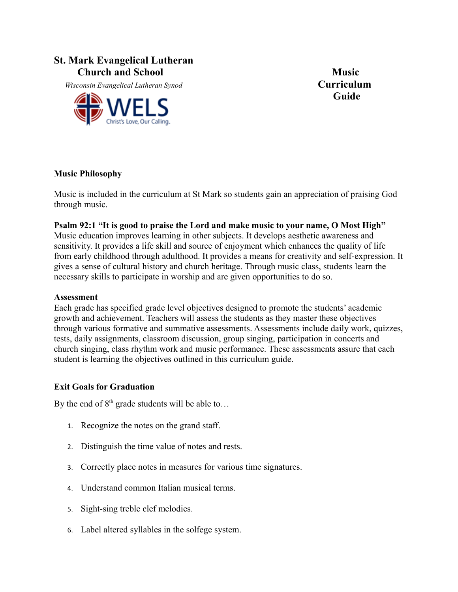## **St. Mark Evangelical Lutheran**  *Church and School* **Music**

 *Wisconsin Evangelical Lutheran Synod* **Curriculum**



**Guide**

#### **Music Philosophy**

Music is included in the curriculum at St Mark so students gain an appreciation of praising God through music.

#### **Psalm 92:1 "It is good to praise the Lord and make music to your name, O Most High"**

Music education improves learning in other subjects. It develops aesthetic awareness and sensitivity. It provides a life skill and source of enjoyment which enhances the quality of life from early childhood through adulthood. It provides a means for creativity and self-expression. It gives a sense of cultural history and church heritage. Through music class, students learn the necessary skills to participate in worship and are given opportunities to do so.

#### **Assessment**

Each grade has specified grade level objectives designed to promote the students' academic growth and achievement. Teachers will assess the students as they master these objectives through various formative and summative assessments. Assessments include daily work, quizzes, tests, daily assignments, classroom discussion, group singing, participation in concerts and church singing, class rhythm work and music performance. These assessments assure that each student is learning the objectives outlined in this curriculum guide.

## **Exit Goals for Graduation**

By the end of  $8<sup>th</sup>$  grade students will be able to...

- 1. Recognize the notes on the grand staff.
- 2. Distinguish the time value of notes and rests.
- 3. Correctly place notes in measures for various time signatures.
- 4. Understand common Italian musical terms.
- 5. Sight-sing treble clef melodies.
- 6. Label altered syllables in the solfege system.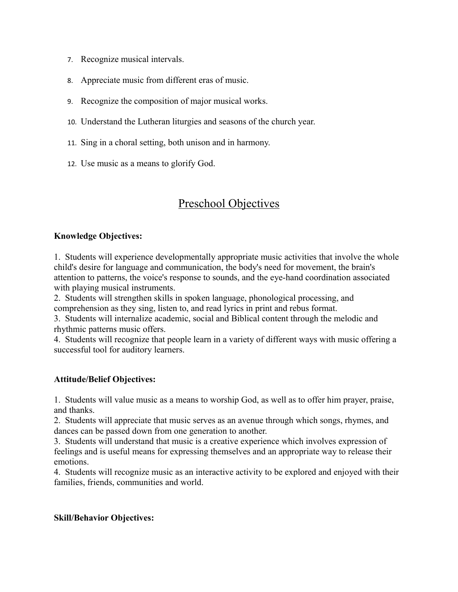- 7. Recognize musical intervals.
- 8. Appreciate music from different eras of music.
- 9. Recognize the composition of major musical works.
- 10. Understand the Lutheran liturgies and seasons of the church year.
- 11. Sing in a choral setting, both unison and in harmony.
- 12. Use music as a means to glorify God.

## Preschool Objectives

#### **Knowledge Objectives:**

1. Students will experience developmentally appropriate music activities that involve the whole child's desire for language and communication, the body's need for movement, the brain's attention to patterns, the voice's response to sounds, and the eye-hand coordination associated with playing musical instruments.

2. Students will strengthen skills in spoken language, phonological processing, and comprehension as they sing, listen to, and read lyrics in print and rebus format.

3. Students will internalize academic, social and Biblical content through the melodic and rhythmic patterns music offers.

4. Students will recognize that people learn in a variety of different ways with music offering a successful tool for auditory learners.

#### **Attitude/Belief Objectives:**

1. Students will value music as a means to worship God, as well as to offer him prayer, praise, and thanks.

2. Students will appreciate that music serves as an avenue through which songs, rhymes, and dances can be passed down from one generation to another.

3. Students will understand that music is a creative experience which involves expression of feelings and is useful means for expressing themselves and an appropriate way to release their emotions.

4. Students will recognize music as an interactive activity to be explored and enjoyed with their families, friends, communities and world.

#### **Skill/Behavior Objectives:**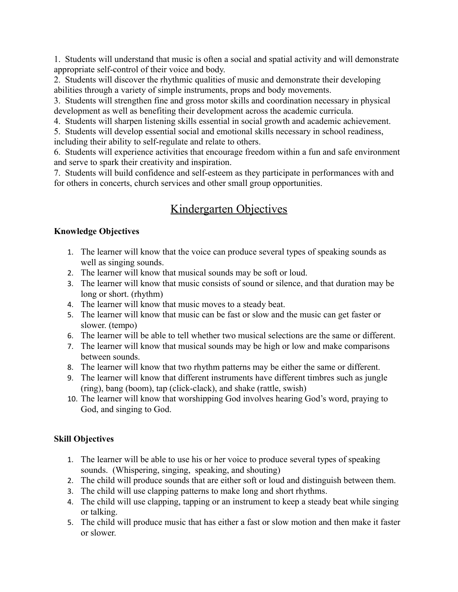1. Students will understand that music is often a social and spatial activity and will demonstrate appropriate self-control of their voice and body.

2. Students will discover the rhythmic qualities of music and demonstrate their developing abilities through a variety of simple instruments, props and body movements.

3. Students will strengthen fine and gross motor skills and coordination necessary in physical development as well as benefiting their development across the academic curricula.

4. Students will sharpen listening skills essential in social growth and academic achievement.

5. Students will develop essential social and emotional skills necessary in school readiness, including their ability to self-regulate and relate to others.

6. Students will experience activities that encourage freedom within a fun and safe environment and serve to spark their creativity and inspiration.

7. Students will build confidence and self-esteem as they participate in performances with and for others in concerts, church services and other small group opportunities.

# Kindergarten Objectives

## **Knowledge Objectives**

- 1. The learner will know that the voice can produce several types of speaking sounds as well as singing sounds.
- 2. The learner will know that musical sounds may be soft or loud.
- 3. The learner will know that music consists of sound or silence, and that duration may be long or short. (rhythm)
- 4. The learner will know that music moves to a steady beat.
- 5. The learner will know that music can be fast or slow and the music can get faster or slower. (tempo)
- 6. The learner will be able to tell whether two musical selections are the same or different.
- 7. The learner will know that musical sounds may be high or low and make comparisons between sounds.
- 8. The learner will know that two rhythm patterns may be either the same or different.
- 9. The learner will know that different instruments have different timbres such as jungle (ring), bang (boom), tap (click-clack), and shake (rattle, swish)
- 10. The learner will know that worshipping God involves hearing God's word, praying to God, and singing to God.

## **Skill Objectives**

- 1. The learner will be able to use his or her voice to produce several types of speaking sounds. (Whispering, singing, speaking, and shouting)
- 2. The child will produce sounds that are either soft or loud and distinguish between them.
- 3. The child will use clapping patterns to make long and short rhythms.
- 4. The child will use clapping, tapping or an instrument to keep a steady beat while singing or talking.
- 5. The child will produce music that has either a fast or slow motion and then make it faster or slower.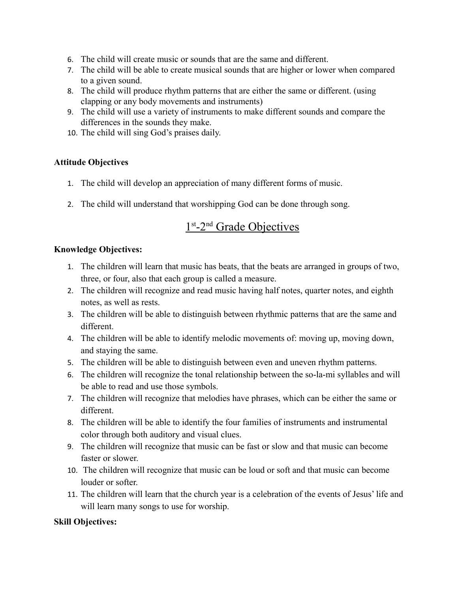- 6. The child will create music or sounds that are the same and different.
- 7. The child will be able to create musical sounds that are higher or lower when compared to a given sound.
- 8. The child will produce rhythm patterns that are either the same or different. (using clapping or any body movements and instruments)
- 9. The child will use a variety of instruments to make different sounds and compare the differences in the sounds they make.
- 10. The child will sing God's praises daily.

## **Attitude Objectives**

- 1. The child will develop an appreciation of many different forms of music.
- 2. The child will understand that worshipping God can be done through song.

# 1<sup>st</sup>-2<sup>nd</sup> Grade Objectives

#### **Knowledge Objectives:**

- 1. The children will learn that music has beats, that the beats are arranged in groups of two, three, or four, also that each group is called a measure.
- 2. The children will recognize and read music having half notes, quarter notes, and eighth notes, as well as rests.
- 3. The children will be able to distinguish between rhythmic patterns that are the same and different.
- 4. The children will be able to identify melodic movements of: moving up, moving down, and staying the same.
- 5. The children will be able to distinguish between even and uneven rhythm patterns.
- 6. The children will recognize the tonal relationship between the so-la-mi syllables and will be able to read and use those symbols.
- 7. The children will recognize that melodies have phrases, which can be either the same or different.
- 8. The children will be able to identify the four families of instruments and instrumental color through both auditory and visual clues.
- 9. The children will recognize that music can be fast or slow and that music can become faster or slower.
- 10. The children will recognize that music can be loud or soft and that music can become louder or softer.
- 11. The children will learn that the church year is a celebration of the events of Jesus' life and will learn many songs to use for worship.

## **Skill Objectives:**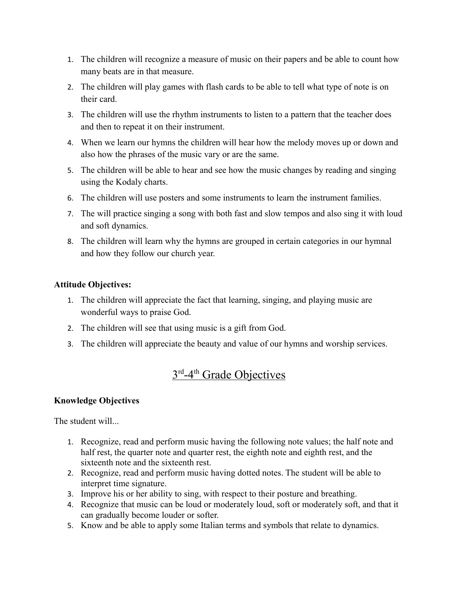- 1. The children will recognize a measure of music on their papers and be able to count how many beats are in that measure.
- 2. The children will play games with flash cards to be able to tell what type of note is on their card.
- 3. The children will use the rhythm instruments to listen to a pattern that the teacher does and then to repeat it on their instrument.
- 4. When we learn our hymns the children will hear how the melody moves up or down and also how the phrases of the music vary or are the same.
- 5. The children will be able to hear and see how the music changes by reading and singing using the Kodaly charts.
- 6. The children will use posters and some instruments to learn the instrument families.
- 7. The will practice singing a song with both fast and slow tempos and also sing it with loud and soft dynamics.
- 8. The children will learn why the hymns are grouped in certain categories in our hymnal and how they follow our church year.

## **Attitude Objectives:**

- 1. The children will appreciate the fact that learning, singing, and playing music are wonderful ways to praise God.
- 2. The children will see that using music is a gift from God.
- 3. The children will appreciate the beauty and value of our hymns and worship services.

# 3<sup>rd</sup>-4<sup>th</sup> Grade Objectives

## **Knowledge Objectives**

The student will...

- 1. Recognize, read and perform music having the following note values; the half note and half rest, the quarter note and quarter rest, the eighth note and eighth rest, and the sixteenth note and the sixteenth rest.
- 2. Recognize, read and perform music having dotted notes. The student will be able to interpret time signature.
- 3. Improve his or her ability to sing, with respect to their posture and breathing.
- 4. Recognize that music can be loud or moderately loud, soft or moderately soft, and that it can gradually become louder or softer.
- 5. Know and be able to apply some Italian terms and symbols that relate to dynamics.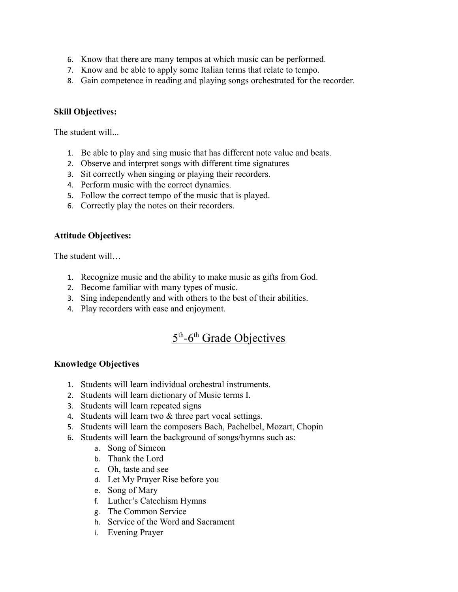- 6. Know that there are many tempos at which music can be performed.
- 7. Know and be able to apply some Italian terms that relate to tempo.
- 8. Gain competence in reading and playing songs orchestrated for the recorder.

#### **Skill Objectives:**

The student will...

- 1. Be able to play and sing music that has different note value and beats.
- 2. Observe and interpret songs with different time signatures
- 3. Sit correctly when singing or playing their recorders.
- 4. Perform music with the correct dynamics.
- 5. Follow the correct tempo of the music that is played.
- 6. Correctly play the notes on their recorders.

#### **Attitude Objectives:**

The student will…

- 1. Recognize music and the ability to make music as gifts from God.
- 2. Become familiar with many types of music.
- 3. Sing independently and with others to the best of their abilities.
- 4. Play recorders with ease and enjoyment.

# 5<sup>th</sup>-6<sup>th</sup> Grade Objectives

#### **Knowledge Objectives**

- 1. Students will learn individual orchestral instruments.
- 2. Students will learn dictionary of Music terms I.
- 3. Students will learn repeated signs
- 4. Students will learn two & three part vocal settings.
- 5. Students will learn the composers Bach, Pachelbel, Mozart, Chopin
- 6. Students will learn the background of songs/hymns such as:
	- a. Song of Simeon
	- b. Thank the Lord
	- c. Oh, taste and see
	- d. Let My Prayer Rise before you
	- e. Song of Mary
	- f. Luther's Catechism Hymns
	- g. The Common Service
	- h. Service of the Word and Sacrament
	- i. Evening Prayer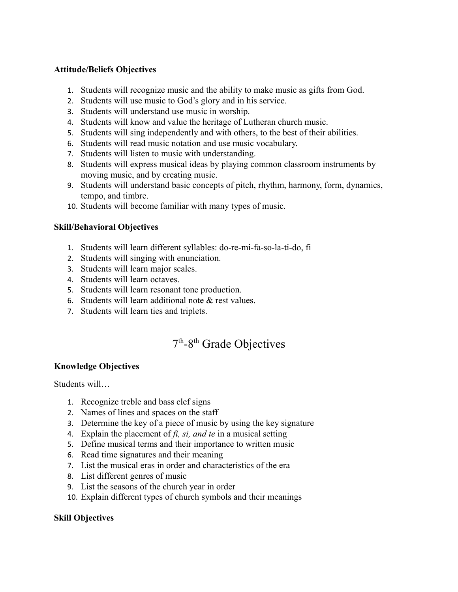## **Attitude/Beliefs Objectives**

- 1. Students will recognize music and the ability to make music as gifts from God.
- 2. Students will use music to God's glory and in his service.
- 3. Students will understand use music in worship.
- 4. Students will know and value the heritage of Lutheran church music.
- 5. Students will sing independently and with others, to the best of their abilities.
- 6. Students will read music notation and use music vocabulary.
- 7. Students will listen to music with understanding.
- 8. Students will express musical ideas by playing common classroom instruments by moving music, and by creating music.
- 9. Students will understand basic concepts of pitch, rhythm, harmony, form, dynamics, tempo, and timbre.
- 10. Students will become familiar with many types of music.

#### **Skill/Behavioral Objectives**

- 1. Students will learn different syllables: do-re-mi-fa-so-la-ti-do, fi
- 2. Students will singing with enunciation.
- 3. Students will learn major scales.
- 4. Students will learn octaves.
- 5. Students will learn resonant tone production.
- 6. Students will learn additional note & rest values.
- 7. Students will learn ties and triplets.

## 7<sup>th</sup>-8<sup>th</sup> Grade Objectives

## **Knowledge Objectives**

Students will…

- 1. Recognize treble and bass clef signs
- 2. Names of lines and spaces on the staff
- 3. Determine the key of a piece of music by using the key signature
- 4. Explain the placement of *fi, si, and te* in a musical setting
- 5. Define musical terms and their importance to written music
- 6. Read time signatures and their meaning
- 7. List the musical eras in order and characteristics of the era
- 8. List different genres of music
- 9. List the seasons of the church year in order
- 10. Explain different types of church symbols and their meanings

## **Skill Objectives**